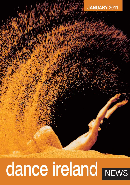### **JANUARY 2011**

# dance ireland NEWS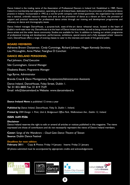Dance Ireland is the trading name of the Association of Professional Dancers in Ireland Ltd. Established in 1989, Dance Ireland is a membership-led organisation, operating on an all-Ireland basis, dedicated to the promotion of professional dance practice in Ireland. Incorporated in 1992 as a not-for-profit company with limited guarantee, the organisation has evolved into a national, umbrella resource whose core aims are the promotion of dance as a vibrant art form, the provision of support and practical resources for professional dance artists through our training and development programmes and advocacy on dance and choreography issues.

Dance Ireland manages DanceHouse, a purpose-built, state-of-the-art dance rehearsal venue, located in the heart of Dublin's north-east inner city. DanceHouse is at the heart of Dance Ireland activities, as well as being a home for professional dance artists and the wider dance community. Studios are available for hire. In addition to hosting our artistic programme of professional training and development, performances, exhibitions, special events and a fully equipped artists' resource room, DanceHouse offers a range of evening classes to cater to the interests and needs of the general public.

#### **BOARD MEMBERS**

Adrienne Brown *Chairperson*, Cindy Cummings, Richard Johnson, Megan Kennedy *Secretary*, Lisa McLoughlin, Anne Maher, Fearghus Ó Conchúir.

#### **DANCE IRELAND PERSONNEL**

Paul Johnson, *Chief Executive* Siân Cunningham, *General Manager*  Elisabetta Bisaro, *Programme Manager*  Inga Byrne, *Administrator*  Brenda Crea & Glenn Montgomery, *Receptionists/Administrative Assistants*  Dance Ireland, DanceHouse, Foley Street, Dublin 1. Tel: 01 855 8800 Fax: 01 819 7529

#### **Dance Ireland News** is published 12 times a year

*Published by Dance Ireland, DanceHouse, Foley St, Dublin 1, Ireland.*

Email: info@danceireland.ie Website: www.danceireland.ie

*Printed by CRM Design + Print, Unit 6, Bridgecourt Office Park, Walkinstown Ave., Dublin 12, Ireland.*

#### **ISSN 1649-9506**

#### **Disclaimer**

Dance Ireland reserves the right to edit or amend all articles or notices published in this magazine. The views expressed are those of contributors and do not necessarily represent the views of Dance Ireland members.

**Cover:** *Songs of the Wanderers – Cloud Gate Dance Theatre of Taiwan* **Source:** Dublin Dance Festival

#### **Deadlines for next edition:**

**February 2011** Copy & Photos: Friday 14 January Inserts: Friday 21 January *All photos submitted must be accompanied by appropriate credits and acknowledgements*







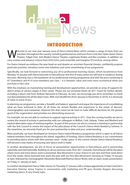

### INTRODUCTION

Welcome to our new year January issue of *Dance Ireland News* which contains a range of news from our Theatre, Fidget Feet, Irish Modern Dance Theatre, Legitimate Bodies and Rex Levitates. In addition we members throughout the country, including performances and tours from CoisCéim, Dylan Quinn Dance carry reviews and advance notices from Echo Echo, junk ensemble and Fearghus O'Conchuir, among others.

For Dance Ireland we embrace the year head-on and despite an uncertain financial climate, confidently propose particular priorities, introduce some new initiatives and some streamlining of our programme.

Specifically, we look forward to welcoming you all to professional morning classes, which recommence from Monday 10 January with Elena Giannotti in DanceHouse (the first of many artists we will have in residence during the year). Morning class is the backbone of our professional training programme and with the price remaining at €7 (members) and €10 (non-members) per class – it is fantastic value and even more economical when you purchase a class card.

With the emphasis on maintaining training and development opportunities, we provide an array of supports for dance artists at various stages in their career. Please see our enclosed *Heads Up* 2011 insert for further details, including a return visit from Andrew Harwood in February. As ever, we encourage you all to remember to check out danceireland.ie for all the latest news. With over 66,000 hits (from January to November in 2010), it is obviously of value to some of you.

In planning our programme, we take a 'breadth and balance' approach and argue the importance of consolidating what we have achieved to date. At all times we remain flexible and responsive to the needs of dancers, choreographers and companies. However this does mean we do have to make difficult decisions for the greater good of the organisation and prioritise our diminishing resources.

For example, we are not able to continue to support regional activity in 2011. Over the coming months we aim to review this strand of activity in partnership with our colleagues in Belfast, Cork, Galway, Tralee and Wexford and explore alternative ways of working together. As part of this process we aim to convene a meeting in partnership with the Arts Council to review the impact of the pilot phase of the Council's Dance Artist Residency Scheme. In the meantime, we sincerely thank you for your partnership to date and your understanding.

More positively, we have developed an inclusive *Dance Ireland Residency* programme which is open to all Dance Ireland members from throughout the island, regardless of funding. *Dance Ireland Residency* is our commitment to providing dance artists with their primary need - studio space. In the current climate *Dance Ireland Residency* will become a key means of ensuring new dance work is made.

In another development, we aim to focus on presentation opportunities in DanceHouse and in partnership nationally and internationally. Building on all our previous work, from 2011 onwards, DanceHouse will be the place where more and more dance work is presented. *New Movements* is your chance to see new and fresh work direct from the studio. Elena Giannotti kick starts the year with our first *New Movements* showing on Friday 14 January at 5pm, followed by choreographer Alexandra Waierstall/Noema Dance Works with an open studio presentation on Friday 21 January at 5pm.

In a further development Dance Talks returns on Thursday 27 January with a unique opportunity to hear CoisCéim's Executive Director Jenny Traynor in conversation with marketing and PR guru Annette Nugent discussing marketing dance. A very timely topic…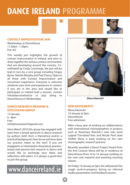# **DANCE IRELAND** PROGRAMME

#### **CONTACT IMPROVISATION JAM**

Wednesdays @ DanceHouse 11.30am - 1.30pm Fee: €2

This weekly jam highlights the growth of contact improvisation in Ireland, and aims to draw together the various contact communities that are developing around the country. Coordinated by Cindy Cummings, the jam will be lead in turn by a core group including Fergus Byrne, Deirdre Murphy and Paul Clancy. Open to all those with Contact Improvisation and movement experience. Everyone is welcome whatever your level and experience in contact. If you are in the area and would like to participate or indeed lead a session, contact info@danceireland.ie or pop along to DanceHouse on Wednesdays.

#### **DANCE RESEARCH READING & DISCUSSION GROUP**

13 January 6 - 8pm Free infodanceresearch@gmail.com

Since March 2010 this group has engaged with texts from a broad spectrum in dance research by authors both from a theoretical and/or a practical background. How do we and how does our practice relate to the text? If you are engaged in or interested in theoretical, practicebased and practice-led research in dance and would like to exchange your ideas and reflections with peers, it is always a good time to join this group.

### www.danceireland.ie



*Elena Giannotti*

#### **NEW MOVEMENTS**

Elena Giannotti 14 January @ 5pm **DanceHouse** Free admission

After a busy year of working on collaborations with international choreographers in projects such as Rosemary Butcher's new solo work *Lapped Translated lines* and Nicole Peisl duet *Vielfalt,* Elena is back working on her own choreographic research practice.

Recently awarded a Dance Project Award from the Arts Council, Elena will be in residence at DanceHouse from 10 to 14 January working on her new solo material and teaching morning classes.

On Friday 14 January at 5pm she will present her rough work-in-progress during an informal studio presentation and feedback session.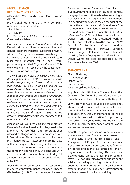#### **MODUL-DANCE – RESIDENCY & TEACHING**

Alexandra Waierstall/Noema Dance Works (GR/D) Professional Morning Class with company member Evangelia Randou 17 - 21 January 10 - 11.30am Fee: €7 members / €10 non-members Class card available

Our first international *Modul-dance* artist is Düsseldorf based Greek choreographer and dancer Alexandra Waierstall, supported by DDRC Athens. During a one-week residency in DanceHouse, Alexandra and company will start researching material for a new work, provisionally entitled *Mapping the wind*. This work follows on her research on the constitution, representation and perception of borders:

*We will base our research on viewing wind maps depicting air masses and their movement across borders, trespassing in this way static notions of boundaries. This reflects a trans-cultural process beyond territorial constraints. As a counterpart to these observations, we shall review the function of longitude and latitude as a series of imaginary lines, which both encompass and dissect the globe – mental structures that can't be physically experienced but give us the sense of a temporal and spatial orientation. These elements will function as tools and systems to structure the process allowing at the same time revelations and narratives to unfold.*

Alexandra will work with artistic collaborators Evangelia Randou, Jonathan Pranlas, visual artist Marianna Christofides and photographer Alexandros Niagos. As part of her research time in DanceHouse, Alexandra wishes to invite some Irish dance artists – attending morning class with company member Evangelia Randou - to take part in the afternoon research sessions with the company. The residency will conclude with an open studio presentation on Friday 21 January at 5pm, under the umbrella of *New Movements.*

Alexandra Waierstall received a Master degree in Choreography from Dance Unlimited Arnhem (Netherlands) in 2006. Her choreographic work focuses on revealing fragments of ourselves and our environment, looking at issues of identity, geographical and intimate borders, retaining in her pieces again and again the fragile moment in a fleeting world. She is the co founder of the interactive arts festival *No Body* in Nicosia. She was nominated in Ballettanz Yearbook 2007 as '*one of the carriers of hope that also in the future will move dance'*. Through her company Noema Dance Works, she has presented work in theatres and festivals such as the Tanzhaus NRW<br>Dusseldorf. Southbank Centre London. Southbank Centre London, Kampnagel Hamburg, Aerowaves London, Tanec Prague, Kalamata Dance Festival, Crossing Festival Beijing, among others. Noema Dance Works has been co-produced by the Tanzhaus NRW since 2007.

#### **DANCE TALKS**

*Dance Marketing* 27 January @ 6pm DanceHouse Free admission reception@danceireland.ie

A public talk with Jenny Traynor, Executive Director, CoisCéim Dance Company and marketing and PR consultant Annette Nugent.

Jenny Traynor has produced all of Coiscéim's shows and tours both nationally and internationally since 2004. An experienced arts producer, Jenny was General Manager at Project Arts Centre from 2001 – 2004. She previously worked for many years in the Arts Council in the areas of music, theatre, dance, arts education and venue development.

Annette Nugent is a senior communications executive with over 12 years experience working in the culture and tourism sectors. She is Chairperson of Project Arts Centre. She is a freelance communications consultant focusing on developing marketing strategies for arts organisations as well as leading PR and audience development campaigns for major cultural events. Her particular areas of expertise are public affairs, marketing planning, cultural tourism, strategic communications, festival/cultural events marketing, audience development, audience research, marketing training.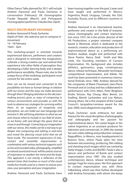Other Dance Talks planned for 2011 will include Andrew Harwood and Paula Zacharias in conversation (February); UK choreographer Frauke Requadt (March) and Portuguese choreographer/performer Cláudia Dias (April).

#### **MULTI-DISCIPLINARY EXCHANGE**

Andrew Harwood & Paula Zacharias *Depth of Field* **-** the selective eye to compose in movement 14 - 18 February 10am - 3pm

This workshop-project is oriented towards experienced dancers, performers and creators and is designed to stimulate the imagination, cultivate a strong creative eye and extend that experience into other fields of perception thus developing a fuller dancing body and a deeper performance sensibility. Please note, due to the unique focus of the workshop, participants must commit for the entire week.

*How can we be moved and connected to the possibilities we have as human beings in relation with our senses and the ways we make decisions through them? Bringing attention to this decisionmaking process gives us ways of composing in various environments and provides us with the tools to observe our strategies for surviving within them. As an organism of receptivity and perception, we can make our own language and reinvent it. We will bring attention to what we see and choose what to include in our field of vision, as we frame, edit and design the space that we move in and through. Connecting our imagination with our senses, this media can be a real way to go deeper into composing and editing in real-time and reveal the dancing visual artist that we all have inside. The movement expressions of solo, contact and ensemble improvisation in combination with various technical supports such as live and recorded video, photography, amplified or natural sound and music will be used as sources of inspiration to awaken the mind and the body. This approach is not merely a reflection of the present times that involves so much of the visual media but mostly used as a means to arouse your view, your perception and your imagination.*

been touring together over the past 2 years and have taught and performed in Mexico, Argentina, Brazil, Uruguay, Canada, the USA, Australia, Russia, and six different countries in Europe.

Andrew Harwood is an international teacher, performer and creator in the field of instantaneous choreography and contact improvisation since 1975. He is the artistic director of AH HA Productions, a project oriented company based in Montreal, which is dedicated to the research, creation, education and production of improvisational dance as a performing art. Andrew studied, taught and performed with Steve Paxton, Nancy Stark Smith and Nita Little, the founding members of Contact Improvisation. His background also includes athletics, gymnastics, yoga, contemporary dance, release technique, Alexander technique, compositional improvisation, and Aikido. His work has been presented in numerous international festivals since 1980. Andrew danced for the companies of Marie Chouinard, Jean-Pierre Perreault and Jo Lechay and has collaborated in performance with Chris Aiken, Peter Bingham, Kirstie Simson, Ray Chung, Marc Boivin, Lin Snelling, Benoît Lachambre and Lisa Nelson, among others. He is the recipient of the Canada Council's Jacqueline-Lemieux award for the year 2000; www.diagramme.org/ahha

Paula Zacharias' work embraces her keen interest for the visual disciplines of photography and videography and her passion for improvisational dance. Her career began in her native Argentina as an assistant producer for television and commercials. In 2000 she started her own video editing and production company Nagualfilms, in Mexico, now headquartered in Buenos Aires, where Paula splits her time between documenting, producing, film editing and shooting stock images which are carried by Getty Images, Corbis and BLEND. Paula is also a dancer and performer of Butoh and contact improvisation since 1987. She also studied contemporary dance, release technique and Iyengar Yoga for many years. Her first approach to contact improvisation was with Alma Falkenberg, which was then further developed with Andrea Fernandez, with whom she keeps

Andrew Harwood and Paula Zacharias have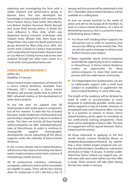exploring and investigating the form with a stable research and performance group in Buenos Aires. She also developed her knowledge in improvisation with teachers like Steve Paxton, Nancy Stark Smith, Nina Martin, Lisa Nelson, Andrew Harwood, Martin Keough and Susan Shell among others. In Butoh her main influence is Rhea Volij, which was deepened during intensive workshops with Tadashi Endo, Minako Seki, Akira Kasai and Diego Piñon. She is part of a Butoh performance group directed by Rhea Volij since 2005. Her recent work is based on Contact Improvisation and Compositional Improvisation (based in part on Lisa Nelson's Tuning Scores) and on her own research through her other main career as a visual artist; www.paulazacharias.com

#### **DANCE IRELAND RESIDENCY**

*OPEN CALL* Deadline: 14 January

Dance Ireland invites expressions of interest for a *Dance Ireland Residency.* Available from February 2011 onwards, a *Dance Ireland Residency* will provide studio time to artists for R&D, rehearsal/creation or the development of other dance projects.

In any one year, we support over 40 artists/projects with studio space in a responsive but ad hoc manner. To date this has included bursaries, studio residencies, teaching deals and partnerships, ranging from a day to a number of weeks. This does not include all those funded artists/companies we offer 'subsided/reduced' rates at DanceHouse. In order to continue to strategically support choreographic development, we are subsuming all the above supports under the umbrella of *Dance Ireland Residency.* 

In the current climate *Dance Ireland Residency* will become a key means of ensuring new dance work is made and dance artists have a chance of maintaining a studio practice.

All DI professional members: individuals, companies, collectives and/or ad hoc ensembles are eligible to apply. There will be two closing dates for residencies in 2011; the first is the 14 January and the second will be advertised in mid 2011; thereafter *Dance Ireland Residency* will be available on a rolling basis.

As ever we remain sensitive to the needs of artists and aim to encourage all DI members to avail of a *Dance Ireland Residency*. At a time of diminishing resources, this is a proactive means of facilitating dance makers:

- For those with funding/other supports we will partner you in order to maximise your resource by offering some week(s) free. This can also be used as leverage to enhance and further resource your project;
- Many regionally based artists/companies would like the opportunity to be in residence in DanceHouse. A *Dance Ireland Residency* creates an opportunity for artists/companies to share their work and process with the wider dance community;
- $\bullet$  For independent/non-funded artists, we aim to additionally support with a small fund (subject to availability) or supplement the *Dance Ireland Residency* in some other way.

The length of the residency will be dictated by need. In order to accommodate as many proposals as realistically possible, studio space will be capped to a max of 4 weeks. However, in exceptional cases and if resources allow, we may be in a position to extend. In return, *Dance Ireland Residency* artists agree to contribute to our professional training programme, show work, and/or participate in Dance Talks. The type of engagement will be agreed between Dance Ireland and the artist(s).

All those interested in applying to the first round should contact Elisabetta Bisaro at elisabetta.bisaro@danceireland.ie, by submitting a short written project proposal and outline of preferred dates. Deadline for submission of interest is Friday 14 January. To better understand how Dance Ireland can support you, we will meet with each artist before any final offer is made. These sessions will take place during the last two weeks in January.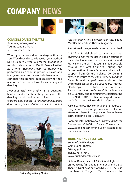## **COMPANY** NEWS



#### **COISCÉIM DANCE THEATRE**

*Swimming with My Mother* Touring January-March www.coisceim.com

Would you dance a duet on stage with your Son? Would you dance a duet with your Mother? David Bolger's 77 year old mother Madge rose to this challenge during Dublin Dance Festival 2010 when *Swimming with my Mother* was performed as a work-in-progress. David and Madge returned to the studio in November to complete this intimate duet embodying their relationship and mutual love for swimming and dancing.

*Swimming with my Mother* is a beautiful, heartfelt and unsentimental journey into the dancing and swimming lives of two extraordinary people. *In this light and humane dance work you could almost smell the sea and*





*feel the grainy sand between your toes.* Seona Mac Réamoinn, Irish Theatre Magazine

A must see for anyone who ever had a mother!

CoisCéim is delighted to announce that *Swimming with My Mother* will begin touring at the end of January with performances in Ireland, France and the UK. This tour is made possible through the Arts Council's Touring and Dissemination of Work Scheme and also with support from Culture Ireland. CoisCéim is excited to return to the city of Limerick and the Belltable with a performance during the Unfringed Festival on 28 & 29 January. This tour also brings two firsts for CoisCéim - with their Parisian debut at the Centre Culturel Irlandais on 03 January and their first time participating in the NOTTDANCE Festival with a performance on 06 March at the Lakeside Arts Centre.

Also in January, they continue their Broadreach programme of evening classes for adults and afternoon classes for people aged 50+ with new terms beginning on 18 January.

For more information about *Swimming with my Mother* or CoisCéim Dance Theatre visit www.coisceim.com or find us on Facebook for our latest updates.

#### **DUBLIN DANCE FESTIVAL**

*Songs of the Wanderers* Grand Canal Theatre 26 May @ 8pm Tickets: €15 - €40 www.dublindancefestival.ie

Dublin Dance Festival (DDF) is delighted to announce its first engagement at Grand Canal Theatre, Dublin, as part of DDF 2011. The Irish premiere of *Songs of the Wanderers*, the

*Swimming with my Mother*

ource: CoisCéim **Source**: CoisCéim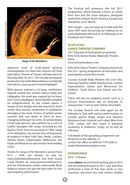



*Songs of the Wanderers*

signature work of multi-award winning choreographer Lin Hwai-min, Director of Cloud Gate Dance Theatre of Taiwan, will take place on Thursday May 26, 2011. This visually sensational production has enthralled audiences worldwide and will be a spectacular Festival highlight!

With dancers trained in c*hi kung*, meditation, internal martial arts, modern dance, ballet and calligraphy, this work was inspired by Lin Hwaimin's visit to Bodhgaya, where Buddha attained his enlightenment. As the curtain opens, a stream of rice drizzles onto the head of an Asian monk, who remains motionless in meditation throughout the work. Tonnes of golden grains ricochet and rain down to form an everchanging landscape for some 20 extraordinary Cloud Gate dancers, who perform to a score of soulful Georgian folk songs recorded by the Rustavi Choir. Since its premiere in 1994, *Songs of the Wanderers* has moved tens of thousands of audience in New York, Paris, Berlin, London, Athens, Rome, Copenhagen, Melbourne, São Paulo, and Moscow to rave reviews from leading critics.

Tickets for *Songs of the Wanderers*, priced from €15 – €40, are already on sale on www.dublindancefestival.je and from Grand Canal Theatre on www.grandcanaltheatre.ie, and via Ticketmaster outlets nationwide. Book today to ensure you get the best seats for this awe-inspiring performance.

The Festival will announce the full 2011 programme, which features a focus on works from Asia and the Asian diaspora, alongside works from Ireland, North America, Europe and elsewhere, on 01 March.

Don't forget – you can keep up to date with the latest DDF news by joining our mailing list on www.dublindancefestival.ie, or following us on Facebook and Twitter.

#### **ECHO ECHO DANCE THEATRE COMPANY**

*2011 Education & Participation programme* Echo Echo Dance Studio, Waterside Theatre, Derry www.echoechodance.com

Echo Echo Dance Theatre Company announces the 2011 spring programme of education and participation events this month.

Courses include Body Wisdom (for over 50s), Dancing Together (adult introductory), Contact Improvisation, Dance and Movement for Children, Youth Dance and Parent and Preschool.

There will also be weekend events such as a Contact Improvisation day on Saturday 22 January from 11am to 5pm, led by Steve Batts.

The Sunday Session will start again on 06 February at 7pm with various performances to include guests Angie Smalis and Katarina Mojzisova from Limerick and Leilani Weis from Chile. Leilani will also teach a weekend workshop in Authentic Tango on 05 and 06 February.

Full details of the upcoming programme can be found on the website, or contact the office on 0044 28 7134 2266 or email info@echoechodance.com.

#### **EXPANDANCE**

*2010 – A Review*

expan**dance** had a full and exciting year in 2010 and are looking forward to 2011. Last year they performed a total of five new works in two countries, launched two new studios (Dublin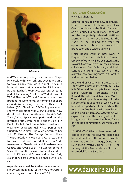

*Tributaries*

and Wicklow, supporting their continued Skype rehearsals with New York) and even found time to have a baby (nice work Laurie). They also brought three works made in the U.S. home to Ireland. Rachel's *Tributaries* was presented as part of Illuminating Artists New Works festival at TADA! Theatre, NYC and 3 months later they brought the work home, performing it at *Some expandance evening...* in Dance Theatre of Ireland (DTI). Christina's *Chi'il Bel Sogno* was also shown at DTI along with *Making Change*, now developed into a trio. Alicia and Laurie's *little Time / little Space* was performed at the Riverbank Arts Centre, Kildare, and at Block T in Dublin. Rachel's *Rock Om,* with five new dancers, was shown at Webster Hall, NYC as part of their Quarterly Arts Soiree. And Alicia performed her solo *12 Steps* at The George Bernard Shaw Theatre in Carlow. It was a busy year of teaching too, with workshops for adults in New York, teenagers at Shawbrook and Riverbank Arts Centre, and Over 60s at The George Bernard Shaw Theatre. New classes for adults start up soon in Kildare and Carlow, and in New York, expan**dance** are busy moving ahead with *Rock Om*.

expan**dance** would like to thank everyone who supported them in 2010; they look forward to connecting with more of you in 2011.

#### **FEARGHUS Ó CONCHÚIR** www.fearghus.net

Last year concluded with new beginnings: I started a new solo thanks to a Blank Canvas residency at the Firkin Crane and an Arts Council Dance Bursary. The solo is for the delightfully talented Matthew Morris and is a site-specific piece for the stage. I'll be looking this year for opportunities to bring that research to production and a wider audience.

I also began work on new work in England. The film installation *Tattered Outlaws of History* will be exhibited at the Jaywick Martello Tower in Essex, and my collaborator, Dan Dubowitz, and I will continue making new work on the Martello Towers of England's East Coast to add to the installation.

At the end of January, I start research on *Tabernacle*, a new quintet with music by Iarla Ó Lionáird, featuring Mikel Aristegui, Elena Giannotti, Stéphane Hisler, Bernadette Iglich and Matthew Morris. The work will premiere in May. With the support of Modul-dance, of which Dance Ireland is a partner, I'll be starting the research at Arts Station in Poznan, Poland at the end of January. *Tabernacle* will explore faith and the making of the Irish body, an enquiry I started with my Dance on the Box commission, *Mo Mhór Choir Féin*.

*Mo Mhór Choir Féin* has been selected to compete in the VideoDansa, Barcelona International Prize this month. It will be shown at the IDN – Image, Dance and New Media festival, from 13 to 16 of January at the Mercat de les Flors and Institut del Teatre, Barcelona.

### www.danceireland.ie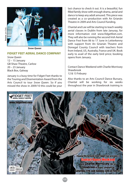

*Snow Queen*

#### **FIDGET FEET AERIAL DANCE COMPANY**

*Snow Queen* 12 – 15 January GB Shaw Theatre, Carlow 20 – 23 January Black Box, Galway

January is a busy time for Fidget Feet thanks to the Touring and Disementation Award from the Arts Council to tour *Snow Queen*. So if you missed the show in 2009/10 this could be your last chance to check it out. It is a beautiful, fun filled family show with enough drama, aerial and dance to keep any adult amused. This piece was created as a co–production with An Grianán Theatre in 2009 and Arts Council funding.

Chantal and Lee will be starting to teach weekly aerial classes in Dublin from late Januray, for more information visit www.fidgetfeet.com. They will also be running the second Irish Aerial Dance Fest from 06 to 17 June in Letterkenny with support from An Grianán Theatre and Donegal County Council with teachers from from Ireland, US, Australia, France and UK. Book early to avail of the early bird price; booking opens from January.

Contact Dance Weekend with Charlie Morrissey Shawbrook 12 & 13 Febuary

Also thanks to an Arts Council Dance Bursary, Chantal will be working for six weeks throughout the year in Shawbrook training in

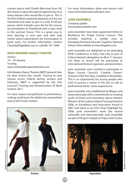contact dance with Charlie Morrissey from UK. She wants to open this special opportunity to as many dancers who would like to join in. This is the first of three weekends planned, so if you are interested and want to join it is only €160 per person which includes your fee for the course, accommdation at Shawbrook and a main meal in the summer house. This is a great way to start dancing in new year and with only twelve places participants are encouraged so book early. For further information contact Chantal@fidgetfeet.com or call 085 741 1098.

#### **IRISH MODERN DANCE THEATRE**

*Actions* 19 – 29 January Touring www.irishmoderndancetheatre.com

Irish Modern Dance Theatre (IMDT) present their hit duet *Actions* this month. Touring to nine venues across Ireland during January and February, IMDT is supported by the Arts Council's Touring and Dissemination of Work Scheme 2011.

*For sheer impact and perfection in performance, nothing could touch the athleticism and polished ease of John Scott's Actions.* 



For more information, dates and venues visit www.irishmoderndancetheatre.com

#### **JUNK ENSEMBLE**

*Company update* www.junkensemble.com

junk ensemble have been appointed Artists in Residence for Fingal County Council. This includes teaching a weekly class at Donabate/Portrane Educate Together National School. More details at www.fingalcoco.ie.

junk ensemble are delighted to be attending APAP Conference in New York City as part of Culture Ireland's delegation on 08 to 11 January. *Five Ways to Drown* will be promoted to international festival organisers and presenters.

junk ensemble were invited to participate in Mayo County Council's 'Creative Careers' (Careers in the Arts Day), Castlebar in November. This is an opportunity for young people who wish to pursue a career in the arts to talk to professional artists. www.mayococo.ie.

junk ensemble was established by Megan and Jessica Kennedy with a commitment to creating works of brave and innovative dance theatre. Winners of the Culture Ireland Touring Award in 2008, an Excellence and Innovation Award in 2007 and listed as an Irish Times Highlight for 2008, junk ensemble's work has toured nationally and internationally. junk ensemble are part of Project Catalyst at Project Arts Centre.



*Pygmalian*

*Actions*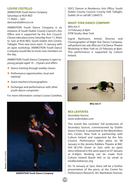#### **LOUISE COSTELLO**

*ANIMOTION Youth Dance Company* Saturdays @ RUA RED 11.30am – 1pm dance@sdublincoco.ie

ANIMOTION Youth Dance Company is an initiative of South Dublin County Council's Arts Office and is supported by the Arts Council. Classes take place every Saturday from 11.30am to 1pm at RUA RED, South Dublin Arts Centre, Tallaght. Their new term starts 15 January with an open workshop. ANIMOTION Youth Dance Company would like to invite new members on the day.

ANIMOTION Youth Dance Company is open to young people aged 14 – 25years and offers:

- **Dance training through weekly classes**
- **•** Performance opportunities, local and national
- **Guest teachers/choreographers**
- Exchanges and performances with other youth dance companies

For more information contact Louise Costelloe,



SDCC Dancer in Residence, Arts Office, South Dublin County Council, County Hall, Tallaght, Dublin 24 or call 087 2384573.

#### **NIGHT STAR DANCE COMPANY**

*Who Am I?* 23 February @ 8pm DTW Studio, New York

Ingrid Nachstern, Artistic Director and Choreographer of Night Star Dance Company, will perform her solo *Who am I?* at Dance Theatre Workshop in New York on 23 February at 8pm. This performance is supported by Culture Ireland.



**Source**: Fennell Photography**jource:** Fennell Photography

*Who Am I?*

#### **REX LEVITATES**

*Secondary Sources* www.rexlevitates.com

This month Rex Levitates' full production of *Secondary Sources*, commissioned by Dublin Dance Festival, is presented at the Baryshnikov Arts Center, New York in partnership with Culture Ireland and supported by the Arts Council. Performance takes place on 08 January in the Jerome Robbins Theatre at BAC 450 W.37th Street at 7pm with an open dress rehearsal in the same space on 07 January at 8.30pm. Booking can be made from Culture Ireland Booth #62 or by email at ewallace@bacnyc.org.

On 10 January at 7pm, there will be a further presentation of the piece, at the Centre for **ANIMOTION Youth Dance Company** | Performance Research, 361 Manhattan Avenue,

Source: Louise Costello **Source**: Louise Costello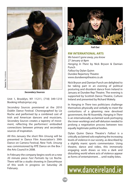

*Secondary Sources*

Unit 1, Brooklyn, NY 11211, (718) 349-1210 Booking info@cprnyc.org.

*Secondary Sources* premiered at the 2010 Dublin Dance Festival. Choreographed by Liz Roche and performed by a combined cast of Irish and American dancers and musicians, *Secondary Sources* creates a tapestry of movement, reflecting the performers' embodied connections between primary and secondary sources of inspiration.

All this January the short film *Unsung* will be presented in Dance Film Association's 39th Dance on Camera Festival, New York. *Unsung* was commissioned by RTÉ Dance on the Box / the Arts Council in 2008.

In February the company begins work on a new 20 minute piece *Fast Portraits* by Liz Roche. There will be a studio showing in DanceHouse of this work in progress on Saturday 26 February.



*Fall Out*

#### **RW INTERNATIONAL ARTS**

*We haven't gone away, you know* 27 January @ 8pm *Hanging In There* by Nick Bryson & Damian Punch *Fallout* by Dylan Quinn Dundee Repertory Theatre www.dundeereptheatre.co.uk

Nick Bryson and Damian Punch are delighted to be taking part in an evening of political posturing and dissident dance from Ireland in January at Dundee Rep Theatre. The evening is supported by Scottish Dance Theatre, Culture Ireland and presented by Richard Wakely.

In *Hanging in There* two politicians challenge themselves physically and verbally to meet the contortions of a gleaming new devolved government, the NI Assembly. *Hanging in There* is an internationally acclaimed work portraying the inner-workings and self-delusion needed to prolong a negotiation process between two equally legitimate political bodies.

Dylan Quinn Dance Theatre's *Fallout* is a critically acclaimed solo exploring the increasing levels of violence in our society, as described by a slightly manic sports commentator. Using theatre, dance and video, this immensely engaging work draws us into a dark and disturbing world where acts of violence appear as forms of entertainment… until reality bites.

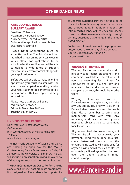#### **OTHER DANCE NEWS**

#### **ARTS COUNCIL DANCE BURSARY AWARD**

Deadline: 20 January Maximum awarded: €10000 Audience type: Individual artist Collaborative application possible: No awards@artscouncil.ie

**Please note:** Applications must be submitted online. The Arts Council has launched a new online services website which allows for applications to be submitted entirely online. You will be able to upload a wide range of support materials in electronic format along with your application form.

Before you will be able to make an online application you must register with the site. It may take up to five working days for your registration to be confirmed so it is very important that you register as early as possible.

Please note that there will be no registrations between Friday 24 December 2010 and Tuesday 04 January 2011.

#### **UNIVERSITY OF LIMERICK**

*Open Day - MA Contemporary Dance Performance* Irish World Academy of Music and Dance 14 January www.irishworldacademy.ie

The Irish World Academy of Music and Dance are holding an open day for the MA in Contemporary Dance Performance on Friday 14 January at the University of Limerick. The day will include a presentation giving an overview of the programme, a workshop and a discussion.

The MA in Contemporary Dance Performance is a one year, full-time, post-graduate programme. It is designed to offer students the opportunity to undertake a period of intensive studio-based research into contemporary dance, performance and choreography. In addition, students are introduced to a range of theoretical approaches to support them examine and clarify, through writing, questions that emerge in their studiobased practice.

For further information about the programme and/or about the open day please contact Course Director, Mary Nunan on mary.nunan@ul.ie.

#### **WINGING IT! REMINDER**

Winging It! Is short-term, no-notice studio hire service for dance practitioners and companies available at DanceHouse. If you are searching last minute for somewhere to get in a final day-long rehearsal or to spend a few hours workshopping a concept, this could be just the ticket!

Winging It! allows you to drop in to DanceHouse on any given day and hire any unused studio. Priority is given to Dance Ireland members and the fee is €25. Please remember to bring your membership card with you. Any remaining studio can be used by nonmembers, subject to the usual conditions for a fee of €50.

All you need to do to take advantage of Winging It! is call in to reception with your payment. Hiring will be done on a firstcome, first-served basis and on the understanding studios will not be used for any fee-paying activities, such as classes or workshops. Bookings will not be taken over the phone. Standard rental conditions apply.

### www.danceireland.ie